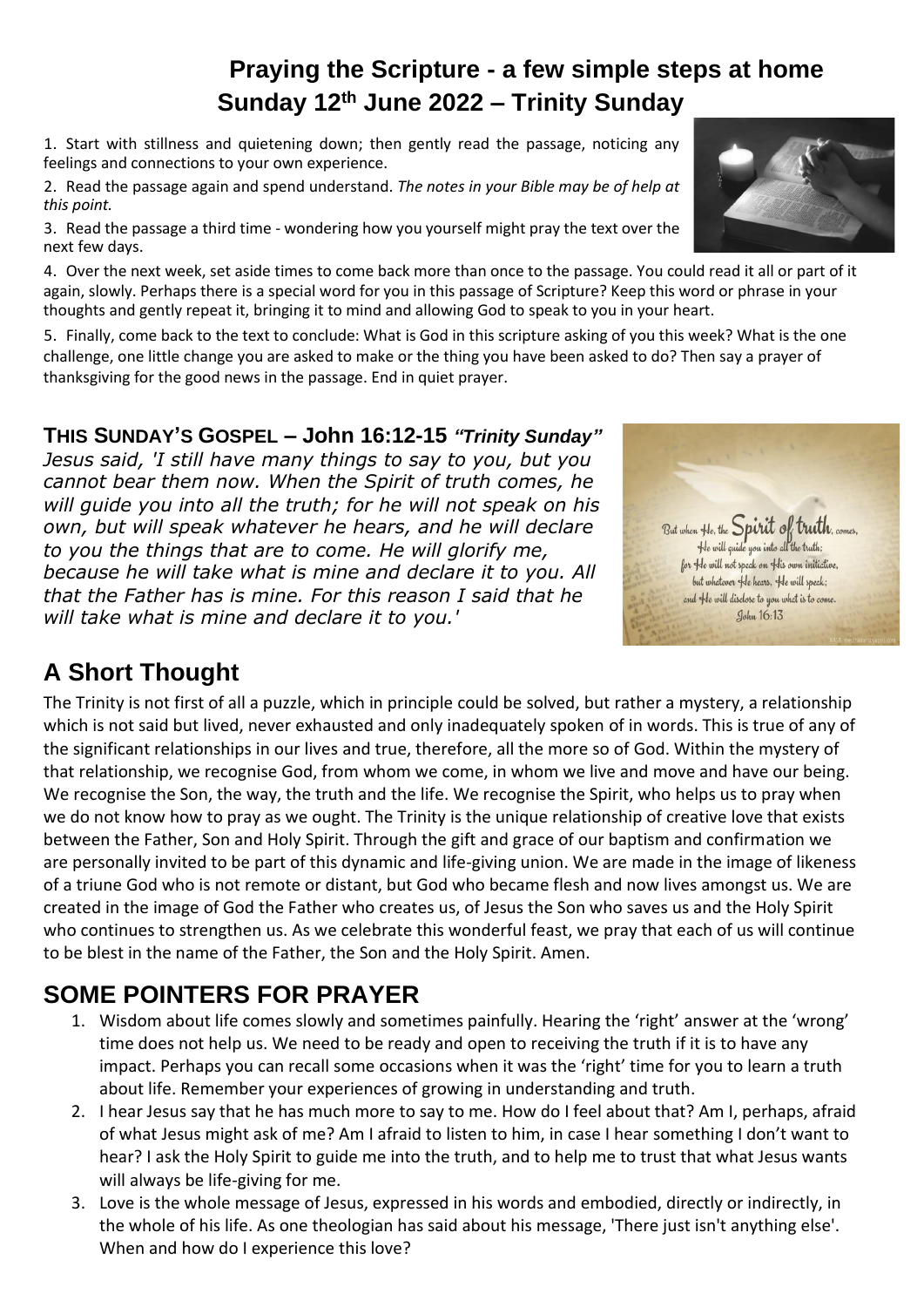### **Praying the Scripture - a few simple steps at home Sunday 12th June 2022 – Trinity Sunday**

1. Start with stillness and quietening down; then gently read the passage, noticing any feelings and connections to your own experience.

2. Read the passage again and spend understand. *The notes in your Bible may be of help at this point.*

3. Read the passage a third time - wondering how you yourself might pray the text over the next few days.

4. Over the next week, set aside times to come back more than once to the passage. You could read it all or part of it again, slowly. Perhaps there is a special word for you in this passage of Scripture? Keep this word or phrase in your thoughts and gently repeat it, bringing it to mind and allowing God to speak to you in your heart.

5. Finally, come back to the text to conclude: What is God in this scripture asking of you this week? What is the one challenge, one little change you are asked to make or the thing you have been asked to do? Then say a prayer of thanksgiving for the good news in the passage. End in quiet prayer.

#### **THIS SUNDAY'S GOSPEL – John 16:12-15** *"Trinity Sunday"*

*Jesus said, 'I still have many things to say to you, but you cannot bear them now. When the Spirit of truth comes, he will guide you into all the truth; for he will not speak on his own, but will speak whatever he hears, and he will declare to you the things that are to come. He will glorify me, because he will take what is mine and declare it to you. All that the Father has is mine. For this reason I said that he will take what is mine and declare it to you.'*

# **A Short Thought**

The Trinity is not first of all a puzzle, which in principle could be solved, but rather a mystery, a relationship which is not said but lived, never exhausted and only inadequately spoken of in words. This is true of any of the significant relationships in our lives and true, therefore, all the more so of God. Within the mystery of that relationship, we recognise God, from whom we come, in whom we live and move and have our being. We recognise the Son, the way, the truth and the life. We recognise the Spirit, who helps us to pray when we do not know how to pray as we ought. The Trinity is the unique relationship of creative love that exists between the Father, Son and Holy Spirit. Through the gift and grace of our baptism and confirmation we are personally invited to be part of this dynamic and life-giving union. We are made in the image of likeness of a triune God who is not remote or distant, but God who became flesh and now lives amongst us. We are created in the image of God the Father who creates us, of Jesus the Son who saves us and the Holy Spirit who continues to strengthen us. As we celebrate this wonderful feast, we pray that each of us will continue to be blest in the name of the Father, the Son and the Holy Spirit. Amen.

# **SOME POINTERS FOR PRAYER**

- 1. Wisdom about life comes slowly and sometimes painfully. Hearing the 'right' answer at the 'wrong' time does not help us. We need to be ready and open to receiving the truth if it is to have any impact. Perhaps you can recall some occasions when it was the 'right' time for you to learn a truth about life. Remember your experiences of growing in understanding and truth.
- 2. I hear Jesus say that he has much more to say to me. How do I feel about that? Am I, perhaps, afraid of what Jesus might ask of me? Am I afraid to listen to him, in case I hear something I don't want to hear? I ask the Holy Spirit to guide me into the truth, and to help me to trust that what Jesus wants will always be life-giving for me.
- 3. Love is the whole message of Jesus, expressed in his words and embodied, directly or indirectly, in the whole of his life. As one theologian has said about his message, 'There just isn't anything else'. When and how do I experience this love?